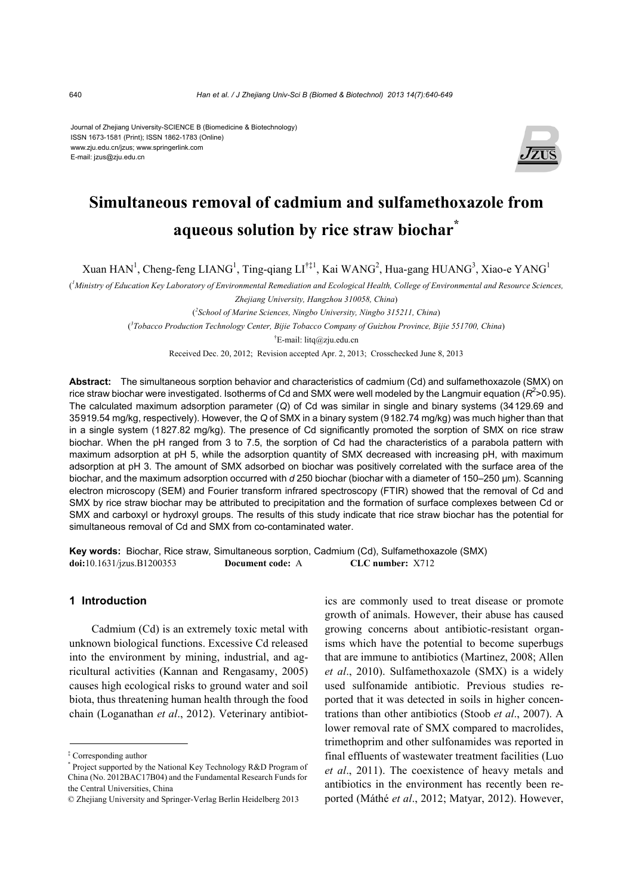Journal of Zhejiang University-SCIENCE B (Biomedicine & Biotechnology) ISSN 1673-1581 (Print); ISSN 1862-1783 (Online) www.zju.edu.cn/jzus; www.springerlink.com E-mail: jzus@zju.edu.cn



# **Simultaneous removal of cadmium and sulfamethoxazole from aqueous solution by rice straw biochar\***

Xuan HAN<sup>1</sup>, Cheng-feng LIANG<sup>1</sup>, Ting-qiang LI<sup>†‡1</sup>, Kai WANG<sup>2</sup>, Hua-gang HUANG<sup>3</sup>, Xiao-e YANG<sup>1</sup>

( *1 Ministry of Education Key Laboratory of Environmental Remediation and Ecological Health, College of Environmental and Resource Sciences,* 

( *2 School of Marine Sciences, Ningbo University, Ningbo 315211, China*)

( *3 Tobacco Production Technology Center, Bijie Tobacco Company of Guizhou Province, Bijie 551700, China*)

† E-mail: litq@zju.edu.cn

Received Dec. 20, 2012; Revision accepted Apr. 2, 2013; Crosschecked June 8, 2013

**Abstract:** The simultaneous sorption behavior and characteristics of cadmium (Cd) and sulfamethoxazole (SMX) on rice straw biochar were investigated. Isotherms of Cd and SMX were well modeled by the Langmuir equation ( $R^2$ >0.95). The calculated maximum adsorption parameter (*Q*) of Cd was similar in single and binary systems (34129.69 and 35919.54 mg/kg, respectively). However, the *Q* of SMX in a binary system (9182.74 mg/kg) was much higher than that in a single system (1827.82 mg/kg). The presence of Cd significantly promoted the sorption of SMX on rice straw biochar. When the pH ranged from 3 to 7.5, the sorption of Cd had the characteristics of a parabola pattern with maximum adsorption at pH 5, while the adsorption quantity of SMX decreased with increasing pH, with maximum adsorption at pH 3. The amount of SMX adsorbed on biochar was positively correlated with the surface area of the biochar, and the maximum adsorption occurred with *d* 250 biochar (biochar with a diameter of 150–250 μm). Scanning electron microscopy (SEM) and Fourier transform infrared spectroscopy (FTIR) showed that the removal of Cd and SMX by rice straw biochar may be attributed to precipitation and the formation of surface complexes between Cd or SMX and carboxyl or hydroxyl groups. The results of this study indicate that rice straw biochar has the potential for simultaneous removal of Cd and SMX from co-contaminated water.

**Key words:** Biochar, Rice straw, Simultaneous sorption, Cadmium (Cd), Sulfamethoxazole (SMX) **doi:**10.1631/jzus.B1200353 **Document code:** A **CLC number:** X712

## **1 Introduction**

Cadmium (Cd) is an extremely toxic metal with unknown biological functions. Excessive Cd released into the environment by mining, industrial, and agricultural activities (Kannan and Rengasamy, 2005) causes high ecological risks to ground water and soil biota, thus threatening human health through the food chain (Loganathan *et al*., 2012). Veterinary antibiotics are commonly used to treat disease or promote growth of animals. However, their abuse has caused growing concerns about antibiotic-resistant organisms which have the potential to become superbugs that are immune to antibiotics (Martinez, 2008; Allen *et al*., 2010). Sulfamethoxazole (SMX) is a widely used sulfonamide antibiotic. Previous studies reported that it was detected in soils in higher concentrations than other antibiotics (Stoob *et al*., 2007). A lower removal rate of SMX compared to macrolides, trimethoprim and other sulfonamides was reported in final effluents of wastewater treatment facilities (Luo *et al*., 2011). The coexistence of heavy metals and antibiotics in the environment has recently been reported (Máthé *et al*., 2012; Matyar, 2012). However,

*Zhejiang University, Hangzhou 310058, China*)

<sup>‡</sup> Corresponding author

<sup>\*</sup> Project supported by the National Key Technology R&D Program of China (No. 2012BAC17B04) and the Fundamental Research Funds for the Central Universities, China

<sup>©</sup> Zhejiang University and Springer-Verlag Berlin Heidelberg 2013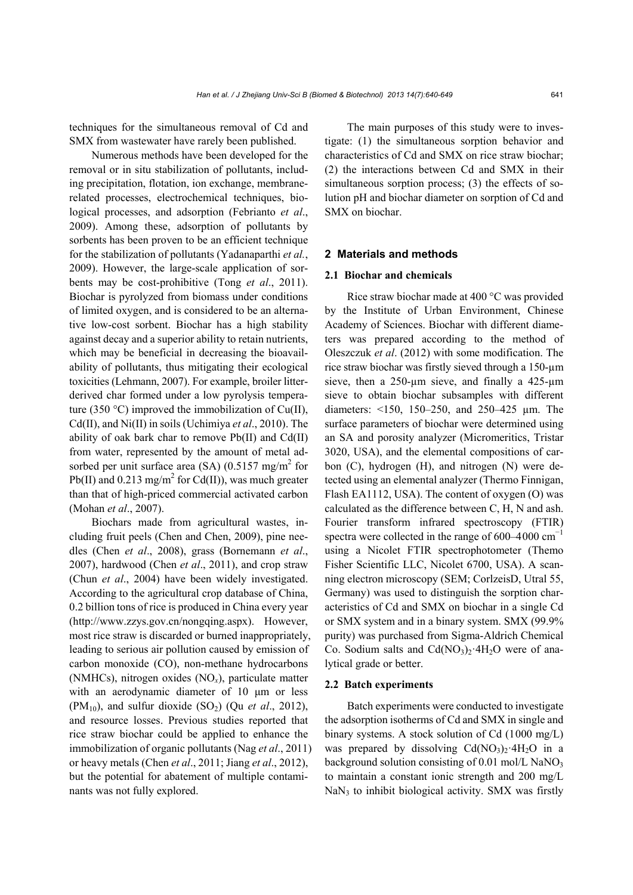techniques for the simultaneous removal of Cd and SMX from wastewater have rarely been published.

Numerous methods have been developed for the removal or in situ stabilization of pollutants, including precipitation, flotation, ion exchange, membranerelated processes, electrochemical techniques, biological processes, and adsorption (Febrianto *et al*., 2009). Among these, adsorption of pollutants by sorbents has been proven to be an efficient technique for the stabilization of pollutants (Yadanaparthi *et al.*, 2009). However, the large-scale application of sorbents may be cost-prohibitive (Tong *et al*., 2011). Biochar is pyrolyzed from biomass under conditions of limited oxygen, and is considered to be an alternative low-cost sorbent. Biochar has a high stability against decay and a superior ability to retain nutrients, which may be beneficial in decreasing the bioavailability of pollutants, thus mitigating their ecological toxicities (Lehmann, 2007). For example, broiler litterderived char formed under a low pyrolysis temperature (350 °C) improved the immobilization of Cu(II), Cd(II), and Ni(II) in soils (Uchimiya *et al*., 2010). The ability of oak bark char to remove Pb(II) and Cd(II) from water, represented by the amount of metal adsorbed per unit surface area (SA)  $(0.5157 \text{ mg/m}^2 \text{ for }$ Pb(II) and 0.213 mg/m<sup>2</sup> for Cd(II)), was much greater than that of high-priced commercial activated carbon (Mohan *et al*., 2007).

Biochars made from agricultural wastes, including fruit peels (Chen and Chen, 2009), pine needles (Chen *et al*., 2008), grass (Bornemann *et al*., 2007), hardwood (Chen *et al*., 2011), and crop straw (Chun *et al*., 2004) have been widely investigated. According to the agricultural crop database of China, 0.2 billion tons of rice is produced in China every year (http://www.zzys.gov.cn/nongqing.aspx). However, most rice straw is discarded or burned inappropriately, leading to serious air pollution caused by emission of carbon monoxide (CO), non-methane hydrocarbons (NMHCs), nitrogen oxides (NO*x*), particulate matter with an aerodynamic diameter of 10 μm or less  $(PM_{10})$ , and sulfur dioxide  $(SO_2)$  (Qu *et al.*, 2012), and resource losses. Previous studies reported that rice straw biochar could be applied to enhance the immobilization of organic pollutants (Nag *et al*., 2011) or heavy metals (Chen *et al*., 2011; Jiang *et al*., 2012), but the potential for abatement of multiple contaminants was not fully explored.

The main purposes of this study were to investigate: (1) the simultaneous sorption behavior and characteristics of Cd and SMX on rice straw biochar; (2) the interactions between Cd and SMX in their simultaneous sorption process; (3) the effects of solution pH and biochar diameter on sorption of Cd and SMX on biochar.

#### **2 Materials and methods**

#### **2.1 Biochar and chemicals**

Rice straw biochar made at 400 °C was provided by the Institute of Urban Environment, Chinese Academy of Sciences. Biochar with different diameters was prepared according to the method of Oleszczuk *et al*. (2012) with some modification. The rice straw biochar was firstly sieved through a 150-µm sieve, then a 250-um sieve, and finally a 425-um sieve to obtain biochar subsamples with different diameters: <150, 150–250, and 250–425 µm. The surface parameters of biochar were determined using an SA and porosity analyzer (Micromeritics, Tristar 3020, USA), and the elemental compositions of carbon (C), hydrogen (H), and nitrogen (N) were detected using an elemental analyzer (Thermo Finnigan, Flash EA1112, USA). The content of oxygen (O) was calculated as the difference between C, H, N and ash. Fourier transform infrared spectroscopy (FTIR) spectra were collected in the range of  $600-4000$  cm<sup>-1</sup> using a Nicolet FTIR spectrophotometer (Themo Fisher Scientific LLC, Nicolet 6700, USA). A scanning electron microscopy (SEM; CorlzeisD, Utral 55, Germany) was used to distinguish the sorption characteristics of Cd and SMX on biochar in a single Cd or SMX system and in a binary system. SMX (99.9% purity) was purchased from Sigma-Aldrich Chemical Co. Sodium salts and  $Cd(NO<sub>3</sub>)<sub>2</sub>·4H<sub>2</sub>O$  were of analytical grade or better.

#### **2.2 Batch experiments**

Batch experiments were conducted to investigate the adsorption isotherms of Cd and SMX in single and binary systems. A stock solution of Cd (1000 mg/L) was prepared by dissolving  $Cd(NO<sub>3</sub>)<sub>2</sub>·4H<sub>2</sub>O$  in a background solution consisting of  $0.01$  mol/L NaNO<sub>3</sub> to maintain a constant ionic strength and 200 mg/L  $NaN<sub>3</sub>$  to inhibit biological activity. SMX was firstly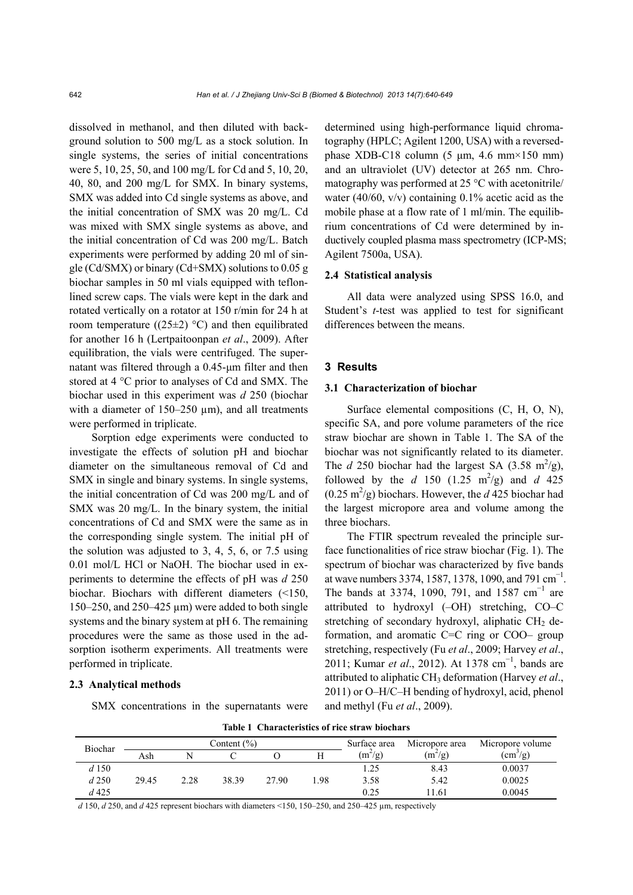dissolved in methanol, and then diluted with background solution to 500 mg/L as a stock solution. In single systems, the series of initial concentrations were 5, 10, 25, 50, and 100 mg/L for Cd and 5, 10, 20, 40, 80, and 200 mg/L for SMX. In binary systems, SMX was added into Cd single systems as above, and the initial concentration of SMX was 20 mg/L. Cd was mixed with SMX single systems as above, and the initial concentration of Cd was 200 mg/L. Batch experiments were performed by adding 20 ml of single (Cd/SMX) or binary (Cd+SMX) solutions to 0.05 g biochar samples in 50 ml vials equipped with teflonlined screw caps. The vials were kept in the dark and rotated vertically on a rotator at 150 r/min for 24 h at room temperature ((25 $\pm$ 2) °C) and then equilibrated for another 16 h (Lertpaitoonpan *et al*., 2009). After equilibration, the vials were centrifuged. The supernatant was filtered through a 0.45-μm filter and then stored at 4 °C prior to analyses of Cd and SMX. The biochar used in this experiment was *d* 250 (biochar with a diameter of  $150-250 \mu m$ , and all treatments were performed in triplicate.

Sorption edge experiments were conducted to investigate the effects of solution pH and biochar diameter on the simultaneous removal of Cd and SMX in single and binary systems. In single systems, the initial concentration of Cd was 200 mg/L and of SMX was 20 mg/L. In the binary system, the initial concentrations of Cd and SMX were the same as in the corresponding single system. The initial pH of the solution was adjusted to 3, 4, 5, 6, or 7.5 using 0.01 mol/L HCl or NaOH. The biochar used in experiments to determine the effects of pH was *d* 250 biochar. Biochars with different diameters (<150, 150–250, and 250–425  $\mu$ m) were added to both single systems and the binary system at pH 6. The remaining procedures were the same as those used in the adsorption isotherm experiments. All treatments were performed in triplicate.

#### **2.3 Analytical methods**

SMX concentrations in the supernatants were

determined using high-performance liquid chromatography (HPLC; Agilent 1200, USA) with a reversedphase XDB-C18 column  $(5 \mu m, 4.6 \text{ mm} \times 150 \text{ mm})$ and an ultraviolet (UV) detector at 265 nm. Chromatography was performed at 25 °C with acetonitrile/ water (40/60,  $v/v$ ) containing 0.1% acetic acid as the mobile phase at a flow rate of 1 ml/min. The equilibrium concentrations of Cd were determined by inductively coupled plasma mass spectrometry (ICP-MS; Agilent 7500a, USA).

## **2.4 Statistical analysis**

All data were analyzed using SPSS 16.0, and Student's *t*-test was applied to test for significant differences between the means.

#### **3 Results**

#### **3.1 Characterization of biochar**

Surface elemental compositions (C, H, O, N), specific SA, and pore volume parameters of the rice straw biochar are shown in Table 1. The SA of the biochar was not significantly related to its diameter. The *d* 250 biochar had the largest SA (3.58 m<sup>2</sup>/g), followed by the *d* 150 (1.25 m<sup>2</sup>/g) and *d* 425  $(0.25 \text{ m}^2/\text{g})$  biochars. However, the *d* 425 biochar had the largest micropore area and volume among the three biochars.

The FTIR spectrum revealed the principle surface functionalities of rice straw biochar (Fig. 1). The spectrum of biochar was characterized by five bands at wave numbers 3374, 1587, 1378, 1090, and 791 cm<sup>-1</sup>. The bands at 3374, 1090, 791, and 1587 cm<sup>-1</sup> are attributed to hydroxyl (–OH) stretching, CO–C stretching of secondary hydroxyl, aliphatic  $CH<sub>2</sub>$  deformation, and aromatic C=C ring or COO– group stretching, respectively (Fu *et al*., 2009; Harvey *et al*., 2011; Kumar *et al.*, 2012). At 1378 cm<sup>-1</sup>, bands are attributed to aliphatic CH3 deformation (Harvey *et al*., 2011) or O–H/C–H bending of hydroxyl, acid, phenol and methyl (Fu *et al*., 2009).

**Table 1 Characteristics of rice straw biochars**

| Biochar  | Content $(\% )$ |      |       |       |     | Surface area | Micropore area | Micropore volume          |  |
|----------|-----------------|------|-------|-------|-----|--------------|----------------|---------------------------|--|
|          | Ash             |      |       |       |     | $(m^2/g)$    | $(m^2/g)$      | $\text{ (cm}^3\text{/g)}$ |  |
| d 150    |                 |      |       |       |     | .25          | 8.43           | 0.0037                    |  |
| d250     | 29.45           | 2.28 | 38.39 | 27.90 | .98 | 3.58         | 5.42           | 0.0025                    |  |
| $d\,425$ |                 |      |       |       |     | 0.25         | 11.61          | 0.0045                    |  |

*d* 150, *d* 250, and *d* 425 represent biochars with diameters <150, 150–250, and 250–425 µm, respectively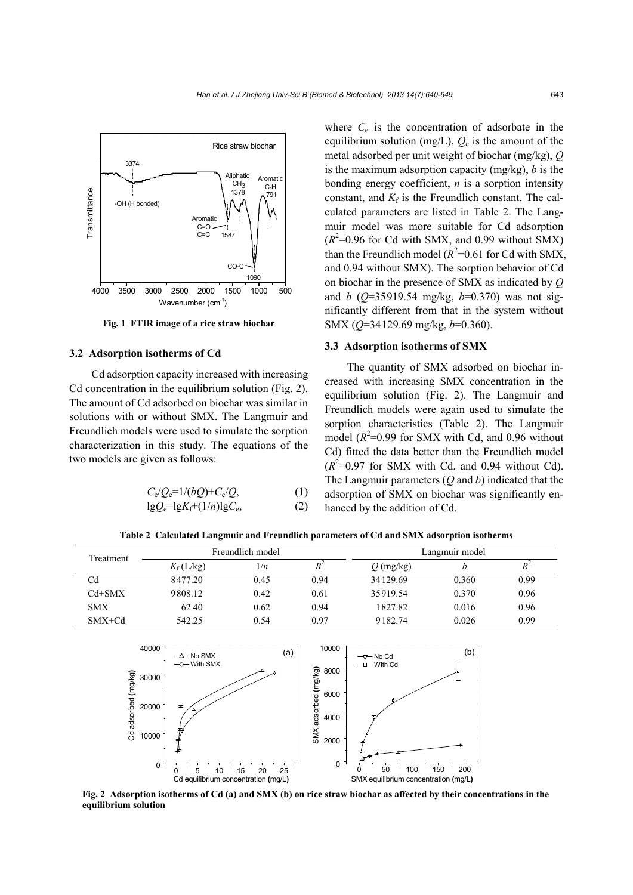

**Fig. 1 FTIR image of a rice straw biochar**

#### **3.2 Adsorption isotherms of Cd**

Cd adsorption capacity increased with increasing Cd concentration in the equilibrium solution (Fig. 2). The amount of Cd adsorbed on biochar was similar in solutions with or without SMX. The Langmuir and Freundlich models were used to simulate the sorption characterization in this study. The equations of the two models are given as follows:

$$
C_e/Q_e = 1/(bQ) + C_e/Q,\tag{1}
$$

$$
lgQ_e = lgK_f + (1/n)lgC_e, \qquad (2)
$$

where  $C_e$  is the concentration of adsorbate in the equilibrium solution (mg/L),  $Q_e$  is the amount of the metal adsorbed per unit weight of biochar (mg/kg), *Q* is the maximum adsorption capacity (mg/kg), *b* is the bonding energy coefficient, *n* is a sorption intensity constant, and  $K_f$  is the Freundlich constant. The calculated parameters are listed in Table 2. The Langmuir model was more suitable for Cd adsorption  $(R^2=0.96$  for Cd with SMX, and 0.99 without SMX) than the Freundlich model  $(R^2=0.61$  for Cd with SMX, and 0.94 without SMX). The sorption behavior of Cd on biochar in the presence of SMX as indicated by *Q* and *b* (*Q*=35919.54 mg/kg, *b*=0.370) was not significantly different from that in the system without SMX (*Q*=34129.69 mg/kg, *b*=0.360).

#### **3.3 Adsorption isotherms of SMX**

The quantity of SMX adsorbed on biochar increased with increasing SMX concentration in the equilibrium solution (Fig. 2). The Langmuir and Freundlich models were again used to simulate the sorption characteristics (Table 2). The Langmuir model  $(R^2=0.99$  for SMX with Cd, and 0.96 without Cd) fitted the data better than the Freundlich model  $(R^2=0.97$  for SMX with Cd, and 0.94 without Cd). The Langmuir parameters (*Q* and *b*) indicated that the adsorption of SMX on biochar was significantly enhanced by the addition of Cd.

**Table 2 Calculated Langmuir and Freundlich parameters of Cd and SMX adsorption isotherms**

| Treatment  |                    | Freundlich model |       | Langmuir model |       |       |  |
|------------|--------------------|------------------|-------|----------------|-------|-------|--|
|            | $K_{\rm f}$ (L/kg) | 1/n              | $R^2$ | $Q$ (mg/kg)    |       | $R^2$ |  |
| Cd         | 8477.20            | 0.45             | 0.94  | 34129.69       | 0.360 | 0.99  |  |
| $Cd+SMX$   | 9808.12            | 0.42             | 0.61  | 35919.54       | 0.370 | 0.96  |  |
| <b>SMX</b> | 62.40              | 0.62             | 0.94  | 1827.82        | 0.016 | 0.96  |  |
| $SMX+Cd$   | 542.25             | 0.54             | 0.97  | 9182.74        | 0.026 | 0.99  |  |



**Fig. 2 Adsorption isotherms of Cd (a) and SMX (b) on rice straw biochar as affected by their concentrations in the equilibrium solution**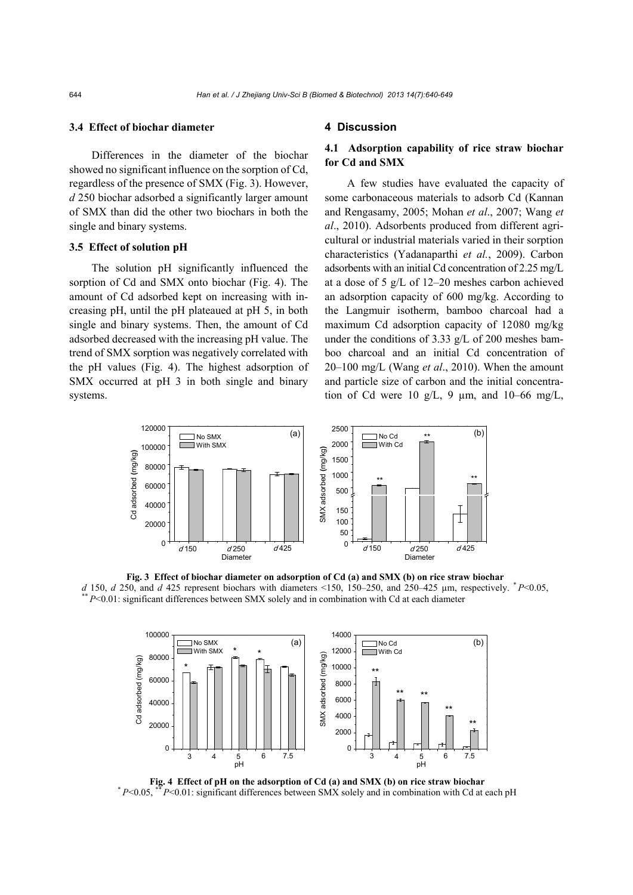#### **3.4 Effect of biochar diameter**

Differences in the diameter of the biochar showed no significant influence on the sorption of Cd, regardless of the presence of SMX (Fig. 3). However, *d* 250 biochar adsorbed a significantly larger amount of SMX than did the other two biochars in both the single and binary systems.

#### **3.5 Effect of solution pH**

The solution pH significantly influenced the sorption of Cd and SMX onto biochar (Fig. 4). The amount of Cd adsorbed kept on increasing with increasing pH, until the pH plateaued at pH 5, in both single and binary systems. Then, the amount of Cd adsorbed decreased with the increasing pH value. The trend of SMX sorption was negatively correlated with the pH values (Fig. 4). The highest adsorption of SMX occurred at pH 3 in both single and binary systems.

#### **4 Discussion**

## **4.1 Adsorption capability of rice straw biochar for Cd and SMX**

A few studies have evaluated the capacity of some carbonaceous materials to adsorb Cd (Kannan and Rengasamy, 2005; Mohan *et al*., 2007; Wang *et al*., 2010). Adsorbents produced from different agricultural or industrial materials varied in their sorption characteristics (Yadanaparthi *et al.*, 2009). Carbon adsorbents with an initial Cd concentration of 2.25 mg/L at a dose of 5 g/L of 12–20 meshes carbon achieved an adsorption capacity of 600 mg/kg. According to the Langmuir isotherm, bamboo charcoal had a maximum Cd adsorption capacity of 12080 mg/kg under the conditions of 3.33 g/L of 200 meshes bamboo charcoal and an initial Cd concentration of 20–100 mg/L (Wang *et al*., 2010). When the amount and particle size of carbon and the initial concentration of Cd were 10 g/L, 9  $\mu$ m, and 10–66 mg/L,



**Fig. 3 Effect of biochar diameter on adsorption of Cd (a) and SMX (b) on rice straw biochar**  d 150, d 250, and d 425 represent biochars with diameters <150, 150–250, and 250–425  $\mu$ m, respectively. \*  $P$ <0.05, \*\*  $P$  <0.01: significant differences between SMX solely and in combination with Cd at each diameter



**Fig. 4 Effect of pH on the adsorption of Cd (a) and SMX (b) on rice straw biochar**  $* P<0.05$ ,  $* P<0.01$ : significant differences between SMX solely and in combination with Cd at each pH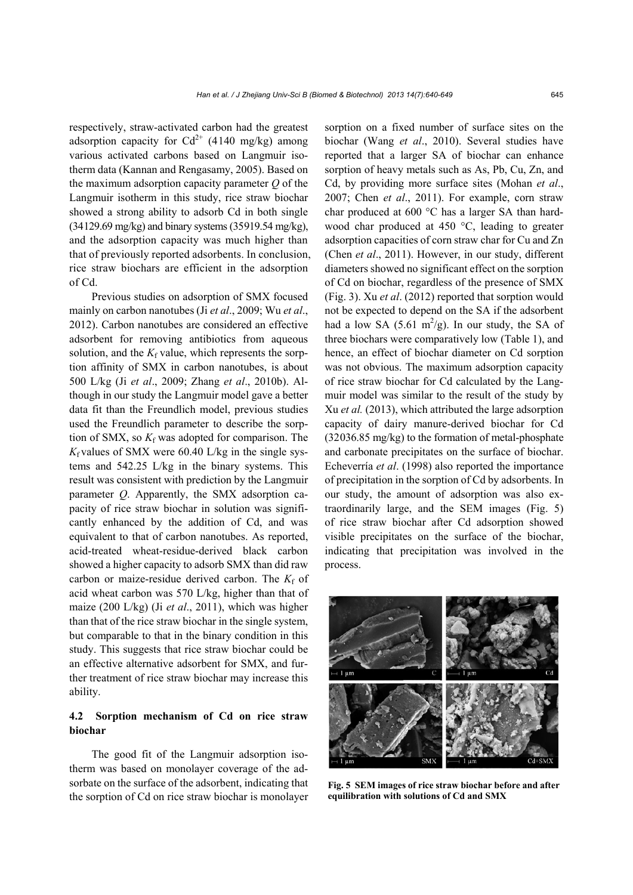respectively, straw-activated carbon had the greatest adsorption capacity for  $Cd^{2+}$  (4140 mg/kg) among various activated carbons based on Langmuir isotherm data (Kannan and Rengasamy, 2005). Based on the maximum adsorption capacity parameter *Q* of the Langmuir isotherm in this study, rice straw biochar showed a strong ability to adsorb Cd in both single (34129.69 mg/kg) and binary systems (35919.54 mg/kg), and the adsorption capacity was much higher than that of previously reported adsorbents. In conclusion, rice straw biochars are efficient in the adsorption of Cd.

Previous studies on adsorption of SMX focused mainly on carbon nanotubes (Ji *et al*., 2009; Wu *et al*., 2012). Carbon nanotubes are considered an effective adsorbent for removing antibiotics from aqueous solution, and the  $K_f$  value, which represents the sorption affinity of SMX in carbon nanotubes, is about 500 L/kg (Ji *et al*., 2009; Zhang *et al*., 2010b). Although in our study the Langmuir model gave a better data fit than the Freundlich model, previous studies used the Freundlich parameter to describe the sorption of SMX, so  $K_f$  was adopted for comparison. The  $K_f$  values of SMX were 60.40 L/kg in the single systems and 542.25 L/kg in the binary systems. This result was consistent with prediction by the Langmuir parameter *Q*. Apparently, the SMX adsorption capacity of rice straw biochar in solution was significantly enhanced by the addition of Cd, and was equivalent to that of carbon nanotubes. As reported, acid-treated wheat-residue-derived black carbon showed a higher capacity to adsorb SMX than did raw carbon or maize-residue derived carbon. The  $K_f$  of acid wheat carbon was 570 L/kg, higher than that of maize (200 L/kg) (Ji *et al*., 2011), which was higher than that of the rice straw biochar in the single system, but comparable to that in the binary condition in this study. This suggests that rice straw biochar could be an effective alternative adsorbent for SMX, and further treatment of rice straw biochar may increase this ability.

## **4.2 Sorption mechanism of Cd on rice straw biochar**

The good fit of the Langmuir adsorption isotherm was based on monolayer coverage of the adsorbate on the surface of the adsorbent, indicating that the sorption of Cd on rice straw biochar is monolayer sorption on a fixed number of surface sites on the biochar (Wang *et al*., 2010). Several studies have reported that a larger SA of biochar can enhance sorption of heavy metals such as As, Pb, Cu, Zn, and Cd, by providing more surface sites (Mohan *et al*., 2007; Chen *et al*., 2011). For example, corn straw char produced at 600 °C has a larger SA than hardwood char produced at 450 °C, leading to greater adsorption capacities of corn straw char for Cu and Zn (Chen *et al*., 2011). However, in our study, different diameters showed no significant effect on the sorption of Cd on biochar, regardless of the presence of SMX (Fig. 3). Xu *et al*. (2012) reported that sorption would not be expected to depend on the SA if the adsorbent had a low SA  $(5.61 \text{ m}^2/\text{g})$ . In our study, the SA of three biochars were comparatively low (Table 1), and hence, an effect of biochar diameter on Cd sorption was not obvious. The maximum adsorption capacity of rice straw biochar for Cd calculated by the Langmuir model was similar to the result of the study by Xu *et al.* (2013), which attributed the large adsorption capacity of dairy manure-derived biochar for Cd (32036.85 mg/kg) to the formation of metal-phosphate and carbonate precipitates on the surface of biochar. Echeverría *et al*. (1998) also reported the importance of precipitation in the sorption of Cd by adsorbents. In our study, the amount of adsorption was also extraordinarily large, and the SEM images (Fig. 5) of rice straw biochar after Cd adsorption showed visible precipitates on the surface of the biochar, indicating that precipitation was involved in the process.



**Fig. 5 SEM images of rice straw biochar before and after equilibration with solutions of Cd and SMX**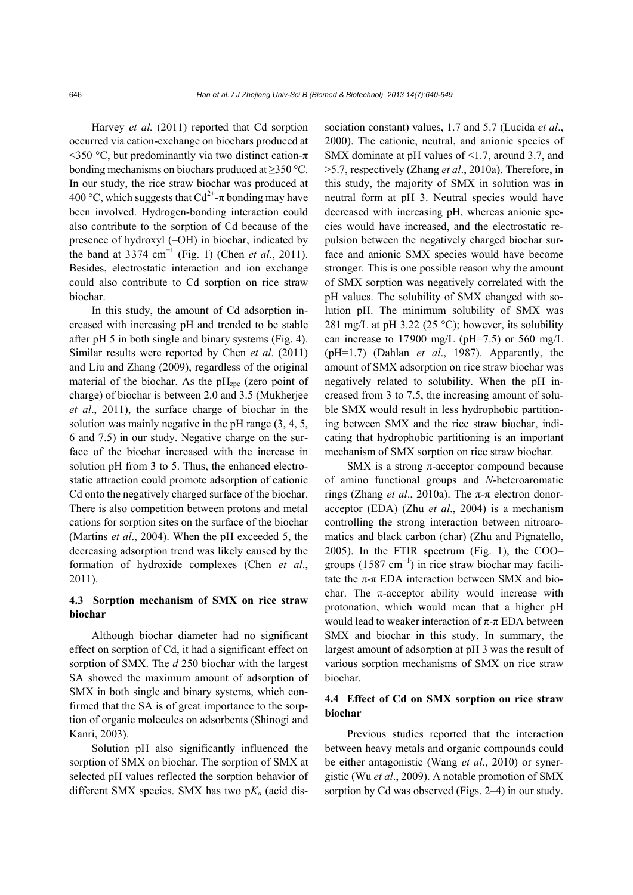Harvey *et al.* (2011) reported that Cd sorption occurred via cation-exchange on biochars produced at  $\leq$ 350 °C, but predominantly via two distinct cation- $\pi$ bonding mechanisms on biochars produced at ≥350 °C. In our study, the rice straw biochar was produced at 400 °C, which suggests that  $Cd^{2+}$ -π bonding may have been involved. Hydrogen-bonding interaction could also contribute to the sorption of Cd because of the presence of hydroxyl (–OH) in biochar, indicated by the band at 3374 cm<sup>−</sup><sup>1</sup> (Fig. 1) (Chen *et al*., 2011). Besides, electrostatic interaction and ion exchange could also contribute to Cd sorption on rice straw biochar.

In this study, the amount of Cd adsorption increased with increasing pH and trended to be stable after pH 5 in both single and binary systems (Fig. 4). Similar results were reported by Chen *et al*. (2011) and Liu and Zhang (2009), regardless of the original material of the biochar. As the  $pH<sub>zpc</sub>$  (zero point of charge) of biochar is between 2.0 and 3.5 (Mukherjee *et al*., 2011), the surface charge of biochar in the solution was mainly negative in the pH range (3, 4, 5, 6 and 7.5) in our study. Negative charge on the surface of the biochar increased with the increase in solution pH from 3 to 5. Thus, the enhanced electrostatic attraction could promote adsorption of cationic Cd onto the negatively charged surface of the biochar. There is also competition between protons and metal cations for sorption sites on the surface of the biochar (Martins *et al*., 2004). When the pH exceeded 5, the decreasing adsorption trend was likely caused by the formation of hydroxide complexes (Chen *et al*., 2011).

## **4.3 Sorption mechanism of SMX on rice straw biochar**

Although biochar diameter had no significant effect on sorption of Cd, it had a significant effect on sorption of SMX. The *d* 250 biochar with the largest SA showed the maximum amount of adsorption of SMX in both single and binary systems, which confirmed that the SA is of great importance to the sorption of organic molecules on adsorbents (Shinogi and Kanri, 2003).

Solution pH also significantly influenced the sorption of SMX on biochar. The sorption of SMX at selected pH values reflected the sorption behavior of different SMX species. SMX has two p*Ka* (acid dissociation constant) values, 1.7 and 5.7 (Lucida *et al*., 2000). The cationic, neutral, and anionic species of SMX dominate at pH values of <1.7, around 3.7, and >5.7, respectively (Zhang *et al*., 2010a). Therefore, in this study, the majority of SMX in solution was in neutral form at pH 3. Neutral species would have decreased with increasing pH, whereas anionic species would have increased, and the electrostatic repulsion between the negatively charged biochar surface and anionic SMX species would have become stronger. This is one possible reason why the amount of SMX sorption was negatively correlated with the pH values. The solubility of SMX changed with solution pH. The minimum solubility of SMX was 281 mg/L at pH 3.22 (25  $^{\circ}$ C); however, its solubility can increase to 17900 mg/L ( $pH=7.5$ ) or 560 mg/L (pH=1.7) (Dahlan *et al*., 1987). Apparently, the amount of SMX adsorption on rice straw biochar was negatively related to solubility. When the pH increased from 3 to 7.5, the increasing amount of soluble SMX would result in less hydrophobic partitioning between SMX and the rice straw biochar, indicating that hydrophobic partitioning is an important mechanism of SMX sorption on rice straw biochar.

SMX is a strong  $π$ -acceptor compound because of amino functional groups and *N*-heteroaromatic rings (Zhang *et al*., 2010a). The π-π electron donoracceptor (EDA) (Zhu *et al*., 2004) is a mechanism controlling the strong interaction between nitroaromatics and black carbon (char) (Zhu and Pignatello, 2005). In the FTIR spectrum (Fig. 1), the COO– groups  $(1587 \text{ cm}^{-1})$  in rice straw biochar may facilitate the  $\pi$ - $\pi$  EDA interaction between SMX and biochar. The  $\pi$ -acceptor ability would increase with protonation, which would mean that a higher pH would lead to weaker interaction of  $\pi$ -π EDA between SMX and biochar in this study. In summary, the largest amount of adsorption at pH 3 was the result of various sorption mechanisms of SMX on rice straw biochar.

## **4.4 Effect of Cd on SMX sorption on rice straw biochar**

Previous studies reported that the interaction between heavy metals and organic compounds could be either antagonistic (Wang *et al*., 2010) or synergistic (Wu *et al*., 2009). A notable promotion of SMX sorption by Cd was observed (Figs. 2–4) in our study.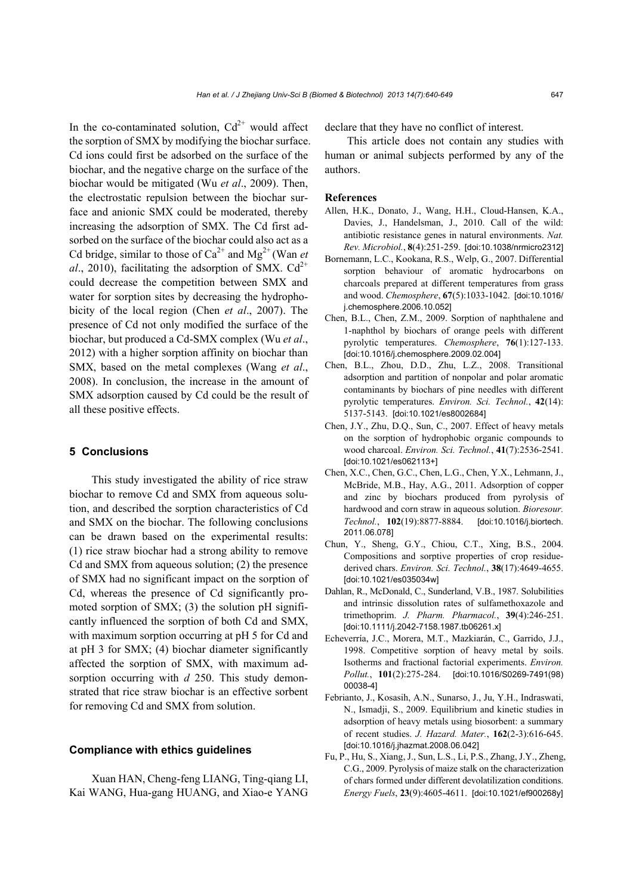In the co-contaminated solution,  $Cd^{2+}$  would affect the sorption of SMX by modifying the biochar surface. Cd ions could first be adsorbed on the surface of the biochar, and the negative charge on the surface of the biochar would be mitigated (Wu *et al*., 2009). Then, the electrostatic repulsion between the biochar surface and anionic SMX could be moderated, thereby increasing the adsorption of SMX. The Cd first adsorbed on the surface of the biochar could also act as a Cd bridge, similar to those of  $Ca^{2+}$  and  $Mg^{2+}$  (Wan *et al.*, 2010), facilitating the adsorption of SMX.  $Cd^{2+}$ could decrease the competition between SMX and water for sorption sites by decreasing the hydrophobicity of the local region (Chen *et al*., 2007). The presence of Cd not only modified the surface of the biochar, but produced a Cd-SMX complex (Wu *et al*., 2012) with a higher sorption affinity on biochar than SMX, based on the metal complexes (Wang *et al*., 2008). In conclusion, the increase in the amount of SMX adsorption caused by Cd could be the result of all these positive effects.

## **5 Conclusions**

This study investigated the ability of rice straw biochar to remove Cd and SMX from aqueous solution, and described the sorption characteristics of Cd and SMX on the biochar. The following conclusions can be drawn based on the experimental results: (1) rice straw biochar had a strong ability to remove Cd and SMX from aqueous solution; (2) the presence of SMX had no significant impact on the sorption of Cd, whereas the presence of Cd significantly promoted sorption of SMX; (3) the solution pH significantly influenced the sorption of both Cd and SMX, with maximum sorption occurring at pH 5 for Cd and at pH 3 for SMX; (4) biochar diameter significantly affected the sorption of SMX, with maximum adsorption occurring with *d* 250. This study demonstrated that rice straw biochar is an effective sorbent for removing Cd and SMX from solution.

#### **Compliance with ethics guidelines**

Xuan HAN, Cheng-feng LIANG, Ting-qiang LI, Kai WANG, Hua-gang HUANG, and Xiao-e YANG declare that they have no conflict of interest.

This article does not contain any studies with human or animal subjects performed by any of the authors.

#### **References**

- Allen, H.K., Donato, J., Wang, H.H., Cloud-Hansen, K.A., Davies, J., Handelsman, J., 2010. Call of the wild: antibiotic resistance genes in natural environments. *Nat. Rev. Microbiol.*, **8**(4):251-259. [doi:10.1038/nrmicro2312]
- Bornemann, L.C., Kookana, R.S., Welp, G., 2007. Differential sorption behaviour of aromatic hydrocarbons on charcoals prepared at different temperatures from grass and wood. *Chemosphere*, **67**(5):1033-1042. [doi:10.1016/ j.chemosphere.2006.10.052]
- Chen, B.L., Chen, Z.M., 2009. Sorption of naphthalene and 1-naphthol by biochars of orange peels with different pyrolytic temperatures. *Chemosphere*, **76**(1):127-133. [doi:10.1016/j.chemosphere.2009.02.004]
- Chen, B.L., Zhou, D.D., Zhu, L.Z., 2008. Transitional adsorption and partition of nonpolar and polar aromatic contaminants by biochars of pine needles with different pyrolytic temperatures. *Environ. Sci. Technol.*, **42**(14): 5137-5143. [doi:10.1021/es8002684]
- Chen, J.Y., Zhu, D.Q., Sun, C., 2007. Effect of heavy metals on the sorption of hydrophobic organic compounds to wood charcoal. *Environ. Sci. Technol.*, **41**(7):2536-2541. [doi:10.1021/es062113+]
- Chen, X.C., Chen, G.C., Chen, L.G., Chen, Y.X., Lehmann, J., McBride, M.B., Hay, A.G., 2011. Adsorption of copper and zinc by biochars produced from pyrolysis of hardwood and corn straw in aqueous solution. *Bioresour. Technol.*, **102**(19):8877-8884. [doi:10.1016/j.biortech. 2011.06.078]
- Chun, Y., Sheng, G.Y., Chiou, C.T., Xing, B.S., 2004. Compositions and sorptive properties of crop residuederived chars. *Environ. Sci. Technol.*, **38**(17):4649-4655. [doi:10.1021/es035034w]
- Dahlan, R., McDonald, C., Sunderland, V.B., 1987. Solubilities and intrinsic dissolution rates of sulfamethoxazole and trimethoprim. *J. Pharm. Pharmacol.*, **39**(4):246-251. [doi:10.1111/j.2042-7158.1987.tb06261.x]
- Echeverría, J.C., Morera, M.T., Mazkiarán, C., Garrido, J.J., 1998. Competitive sorption of heavy metal by soils. Isotherms and fractional factorial experiments. *Environ. Pollut.*, **101**(2):275-284. [doi:10.1016/S0269-7491(98) 00038-4]
- Febrianto, J., Kosasih, A.N., Sunarso, J., Ju, Y.H., Indraswati, N., Ismadji, S., 2009. Equilibrium and kinetic studies in adsorption of heavy metals using biosorbent: a summary of recent studies. *J. Hazard. Mater.*, **162**(2-3):616-645. [doi:10.1016/j.jhazmat.2008.06.042]
- Fu, P., Hu, S., Xiang, J., Sun, L.S., Li, P.S., Zhang, J.Y., Zheng, C.G., 2009. Pyrolysis of maize stalk on the characterization of chars formed under different devolatilization conditions. *Energy Fuels*, **23**(9):4605-4611. [doi:10.1021/ef900268y]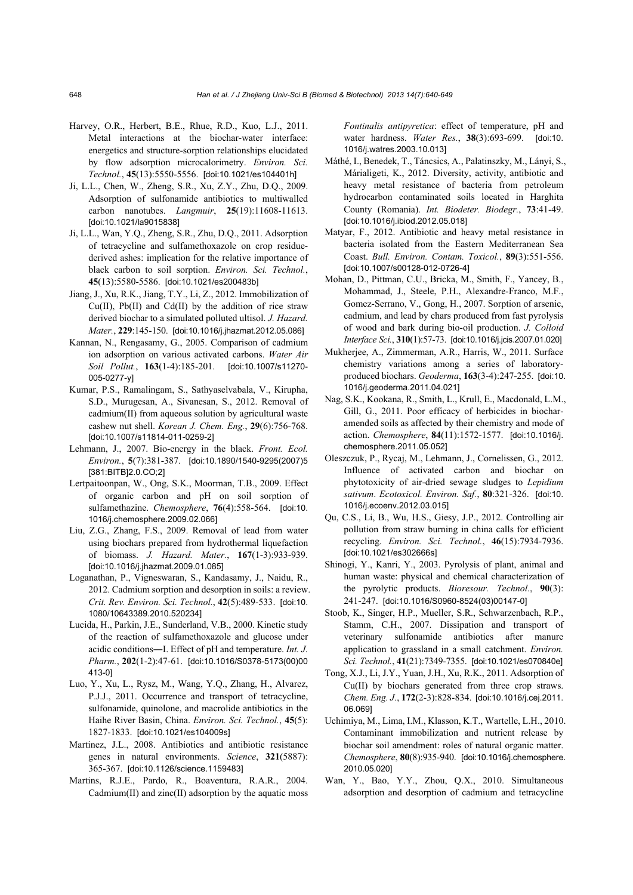- Harvey, O.R., Herbert, B.E., Rhue, R.D., Kuo, L.J., 2011. Metal interactions at the biochar-water interface: energetics and structure-sorption relationships elucidated by flow adsorption microcalorimetry. *Environ. Sci. Technol.*, **45**(13):5550-5556. [doi:10.1021/es104401h]
- Ji, L.L., Chen, W., Zheng, S.R., Xu, Z.Y., Zhu, D.Q., 2009. Adsorption of sulfonamide antibiotics to multiwalled carbon nanotubes. *Langmuir*, **25**(19):11608-11613. [doi:10.1021/la9015838]
- Ji, L.L., Wan, Y.Q., Zheng, S.R., Zhu, D.Q., 2011. Adsorption of tetracycline and sulfamethoxazole on crop residuederived ashes: implication for the relative importance of black carbon to soil sorption. *Environ. Sci. Technol.*, **45**(13):5580-5586. [doi:10.1021/es200483b]
- Jiang, J., Xu, R.K., Jiang, T.Y., Li, Z., 2012. Immobilization of  $Cu(II)$ , Pb $(II)$  and Cd $(II)$  by the addition of rice straw derived biochar to a simulated polluted ultisol. *J. Hazard. Mater.*, **229**:145-150. [doi:10.1016/j.jhazmat.2012.05.086]
- Kannan, N., Rengasamy, G., 2005. Comparison of cadmium ion adsorption on various activated carbons. *Water Air Soil Pollut.*, **163**(1-4):185-201. [doi:10.1007/s11270- 005-0277-y]
- Kumar, P.S., Ramalingam, S., Sathyaselvabala, V., Kirupha, S.D., Murugesan, A., Sivanesan, S., 2012. Removal of cadmium(II) from aqueous solution by agricultural waste cashew nut shell. *Korean J. Chem. Eng.*, **29**(6):756-768. [doi:10.1007/s11814-011-0259-2]
- Lehmann, J., 2007. Bio-energy in the black. *Front. Ecol. Environ.*, **5**(7):381-387. [doi:10.1890/1540-9295(2007)5 [381:BITB]2.0.CO;2]
- Lertpaitoonpan, W., Ong, S.K., Moorman, T.B., 2009. Effect of organic carbon and pH on soil sorption of sulfamethazine. *Chemosphere*, **76**(4):558-564. [doi:10. 1016/j.chemosphere.2009.02.066]
- Liu, Z.G., Zhang, F.S., 2009. Removal of lead from water using biochars prepared from hydrothermal liquefaction of biomass. *J. Hazard. Mater.*, **167**(1-3):933-939. [doi:10.1016/j.jhazmat.2009.01.085]
- Loganathan, P., Vigneswaran, S., Kandasamy, J., Naidu, R., 2012. Cadmium sorption and desorption in soils: a review. *Crit. Rev. Environ. Sci. Technol.*, **42**(5):489-533. [doi:10. 1080/10643389.2010.520234]
- Lucida, H., Parkin, J.E., Sunderland, V.B., 2000. Kinetic study of the reaction of sulfamethoxazole and glucose under acidic conditions―I. Effect of pH and temperature. *Int. J. Pharm.*, **202**(1-2):47-61. [doi:10.1016/S0378-5173(00)00 413-0]
- Luo, Y., Xu, L., Rysz, M., Wang, Y.Q., Zhang, H., Alvarez, P.J.J., 2011. Occurrence and transport of tetracycline, sulfonamide, quinolone, and macrolide antibiotics in the Haihe River Basin, China. *Environ. Sci. Technol.*, **45**(5): 1827-1833. [doi:10.1021/es104009s]
- Martinez, J.L., 2008. Antibiotics and antibiotic resistance genes in natural environments. *Science*, **321**(5887): 365-367. [doi:10.1126/science.1159483]
- Martins, R.J.E., Pardo, R., Boaventura, R.A.R., 2004. Cadmium(II) and zinc(II) adsorption by the aquatic moss

*Fontinalis antipyretica*: effect of temperature, pH and water hardness. *Water Res.*, **38**(3):693-699. [doi:10. 1016/j.watres.2003.10.013]

- Máthé, I., Benedek, T., Táncsics, A., Palatinszky, M., Lányi, S., Márialigeti, K., 2012. Diversity, activity, antibiotic and heavy metal resistance of bacteria from petroleum hydrocarbon contaminated soils located in Harghita County (Romania). *Int. Biodeter. Biodegr.*, **73**:41-49. [doi:10.1016/j.ibiod.2012.05.018]
- Matyar, F., 2012. Antibiotic and heavy metal resistance in bacteria isolated from the Eastern Mediterranean Sea Coast. *Bull. Environ. Contam. Toxicol.*, **89**(3):551-556. [doi:10.1007/s00128-012-0726-4]
- Mohan, D., Pittman, C.U., Bricka, M., Smith, F., Yancey, B., Mohammad, J., Steele, P.H., Alexandre-Franco, M.F., Gomez-Serrano, V., Gong, H., 2007. Sorption of arsenic, cadmium, and lead by chars produced from fast pyrolysis of wood and bark during bio-oil production. *J. Colloid Interface Sci.*, **310**(1):57-73. [doi:10.1016/j.jcis.2007.01.020]
- Mukherjee, A., Zimmerman, A.R., Harris, W., 2011. Surface chemistry variations among a series of laboratoryproduced biochars. *Geoderma*, **163**(3-4):247-255. [doi:10. 1016/j.geoderma.2011.04.021]
- Nag, S.K., Kookana, R., Smith, L., Krull, E., Macdonald, L.M., Gill, G., 2011. Poor efficacy of herbicides in biocharamended soils as affected by their chemistry and mode of action. *Chemosphere*, **84**(11):1572-1577. [doi:10.1016/j. chemosphere.2011.05.052]
- Oleszczuk, P., Rycaj, M., Lehmann, J., Cornelissen, G., 2012. Influence of activated carbon and biochar on phytotoxicity of air-dried sewage sludges to *Lepidium sativum*. *Ecotoxicol. Environ. Saf.*, **80**:321-326. [doi:10. 1016/j.ecoenv.2012.03.015]
- Qu, C.S., Li, B., Wu, H.S., Giesy, J.P., 2012. Controlling air pollution from straw burning in china calls for efficient recycling. *Environ. Sci. Technol.*, **46**(15):7934-7936. [doi:10.1021/es302666s]
- Shinogi, Y., Kanri, Y., 2003. Pyrolysis of plant, animal and human waste: physical and chemical characterization of the pyrolytic products. *Bioresour. Technol.*, **90**(3): 241-247. [doi:10.1016/S0960-8524(03)00147-0]
- Stoob, K., Singer, H.P., Mueller, S.R., Schwarzenbach, R.P., Stamm, C.H., 2007. Dissipation and transport of veterinary sulfonamide antibiotics after manure application to grassland in a small catchment. *Environ. Sci. Technol.*, **41**(21):7349-7355. [doi:10.1021/es070840e]
- Tong, X.J., Li, J.Y., Yuan, J.H., Xu, R.K., 2011. Adsorption of Cu(II) by biochars generated from three crop straws. *Chem. Eng. J.*, **172**(2-3):828-834. [doi:10.1016/j.cej.2011. 06.069]
- Uchimiya, M., Lima, I.M., Klasson, K.T., Wartelle, L.H., 2010. Contaminant immobilization and nutrient release by biochar soil amendment: roles of natural organic matter. *Chemosphere*, **80**(8):935-940. [doi:10.1016/j.chemosphere. 2010.05.020]
- Wan, Y., Bao, Y.Y., Zhou, Q.X., 2010. Simultaneous adsorption and desorption of cadmium and tetracycline